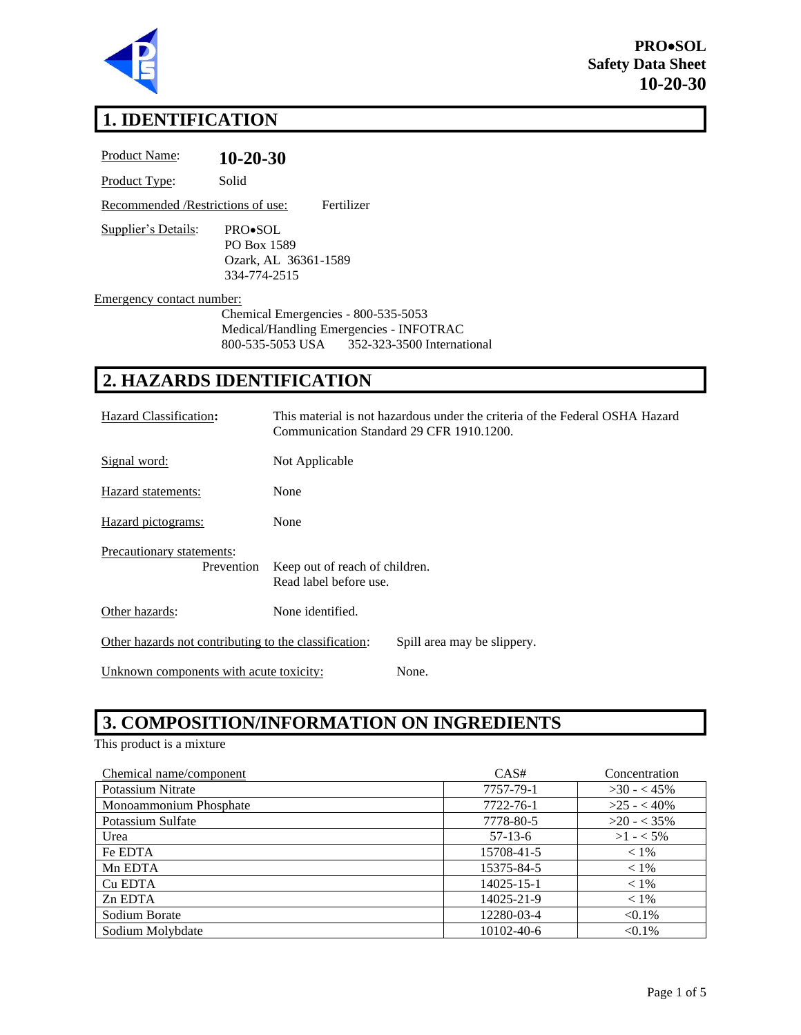

# **1. IDENTIFICATION**

| <b>Product Name:</b>               | $10 - 20 - 30$                                                                                                                |
|------------------------------------|-------------------------------------------------------------------------------------------------------------------------------|
| Product Type:                      | Solid                                                                                                                         |
| Recommended / Restrictions of use: | Fertilizer                                                                                                                    |
| Supplier's Details:                | PRO•SOL<br>PO Box 1589<br>Ozark, AL 36361-1589<br>334-774-2515                                                                |
| Emergency contact number:          | Chemical Emergencies - 800-535-5053<br>Medical/Handling Emergencies - INFOTRAC<br>800-535-5053 USA 352-323-3500 International |
|                                    | 2. HAZARDS IDENTIFICATION                                                                                                     |
| Hazard Classification:             | This material is not hazardous under the criteria of the Federal OSHA Hazard<br>Communication Standard 29 CFR 1910.1200.      |

| Signal word:                                          | Not Applicable                                           |                             |
|-------------------------------------------------------|----------------------------------------------------------|-----------------------------|
| Hazard statements:                                    | None                                                     |                             |
| Hazard pictograms:                                    | None                                                     |                             |
| Precautionary statements:<br>Prevention               | Keep out of reach of children.<br>Read label before use. |                             |
| Other hazards:                                        | None identified.                                         |                             |
| Other hazards not contributing to the classification: |                                                          | Spill area may be slippery. |

Unknown components with acute toxicity: None.

# **3. COMPOSITION/INFORMATION ON INGREDIENTS**

This product is a mixture

| Chemical name/component | CAS#             | Concentration |
|-------------------------|------------------|---------------|
| Potassium Nitrate       | 7757-79-1        | $>30 - 45\%$  |
| Monoammonium Phosphate  | 7722-76-1        | $>25 - 40\%$  |
| Potassium Sulfate       | 7778-80-5        | $>20 - 35\%$  |
| Urea                    | $57-13-6$        | $>1 - 5\%$    |
| Fe EDTA                 | 15708-41-5       | $< 1\%$       |
| Mn EDTA                 | 15375-84-5       | $< 1\%$       |
| Cu EDTA                 | $14025 - 15 - 1$ | $< 1\%$       |
| Zn EDTA                 | 14025-21-9       | $< 1\%$       |
| Sodium Borate           | 12280-03-4       | $< 0.1\%$     |
| Sodium Molybdate        | 10102-40-6       | $< 0.1\%$     |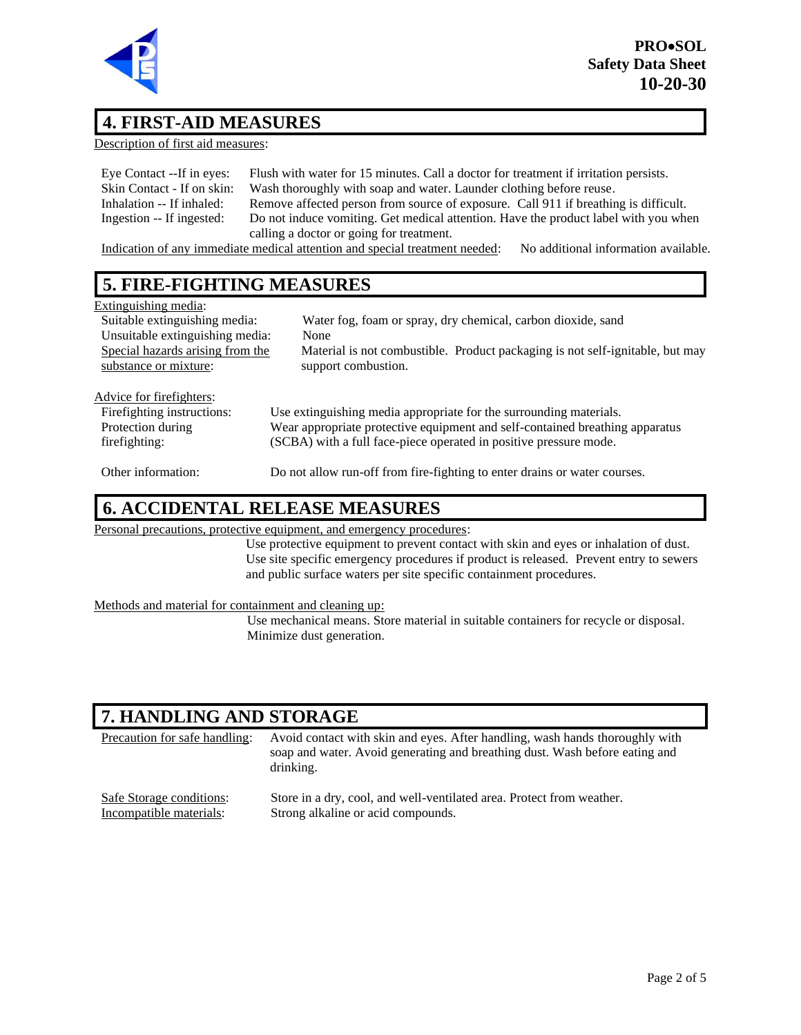

#### **4. FIRST-AID MEASURES**

Description of first aid measures:

| Eye Contact --If in eyes:  | Flush with water for 15 minutes. Call a doctor for treatment if irritation persists.                                                                                                                                                                                                                                                                                                                                                                        |
|----------------------------|-------------------------------------------------------------------------------------------------------------------------------------------------------------------------------------------------------------------------------------------------------------------------------------------------------------------------------------------------------------------------------------------------------------------------------------------------------------|
| Skin Contact - If on skin: | Wash thoroughly with soap and water. Launder clothing before reuse.                                                                                                                                                                                                                                                                                                                                                                                         |
| Inhalation -- If inhaled:  | Remove affected person from source of exposure. Call 911 if breathing is difficult.                                                                                                                                                                                                                                                                                                                                                                         |
| Ingestion -- If ingested:  | Do not induce vomiting. Get medical attention. Have the product label with you when                                                                                                                                                                                                                                                                                                                                                                         |
|                            | calling a doctor or going for treatment.                                                                                                                                                                                                                                                                                                                                                                                                                    |
|                            | $\mathbf{T} = \mathbf{1}^T \times \mathbf{1}^T \times \mathbf{1}^T \times \mathbf{1}^T \times \mathbf{1}^T \times \mathbf{1}^T \times \mathbf{1}^T \times \mathbf{1}^T \times \mathbf{1}^T \times \mathbf{1}^T \times \mathbf{1}^T \times \mathbf{1}^T \times \mathbf{1}^T \times \mathbf{1}^T \times \mathbf{1}^T \times \mathbf{1}^T \times \mathbf{1}^T \times \mathbf{1}^T \times \mathbf{1}^T \times \mathbf{1}^T \times \mathbf{1}^T \times \mathbf{$ |

Indication of any immediate medical attention and special treatment needed: No additional information available.

## **5. FIRE-FIGHTING MEASURES**

| Extinguishing media:                                      |                                                                                                      |
|-----------------------------------------------------------|------------------------------------------------------------------------------------------------------|
| Suitable extinguishing media:                             | Water fog, foam or spray, dry chemical, carbon dioxide, sand                                         |
| Unsuitable extinguishing media:                           | None                                                                                                 |
| Special hazards arising from the<br>substance or mixture: | Material is not combustible. Product packaging is not self-ignitable, but may<br>support combustion. |
|                                                           |                                                                                                      |
| Advice for firefighters:                                  |                                                                                                      |
| Firefighting instructions:                                | Use extinguishing media appropriate for the surrounding materials.                                   |
| Protection during                                         | Wear appropriate protective equipment and self-contained breathing apparatus                         |
| firefighting:                                             | (SCBA) with a full face-piece operated in positive pressure mode.                                    |
| Other information:                                        | Do not allow run-off from fire-fighting to enter drains or water courses.                            |

#### **6. ACCIDENTAL RELEASE MEASURES**

Personal precautions, protective equipment, and emergency procedures:

Use protective equipment to prevent contact with skin and eyes or inhalation of dust. Use site specific emergency procedures if product is released. Prevent entry to sewers and public surface waters per site specific containment procedures.

#### Methods and material for containment and cleaning up:

Use mechanical means. Store material in suitable containers for recycle or disposal. Minimize dust generation.

## **7. HANDLING AND STORAGE**

| Precaution for safe handling: | Avoid contact with skin and eyes. After handling, wash hands thoroughly with<br>soap and water. Avoid generating and breathing dust. Wash before eating and<br>drinking. |
|-------------------------------|--------------------------------------------------------------------------------------------------------------------------------------------------------------------------|
| Safe Storage conditions:      | Store in a dry, cool, and well-ventilated area. Protect from weather.                                                                                                    |
| Incompatible materials:       | Strong alkaline or acid compounds.                                                                                                                                       |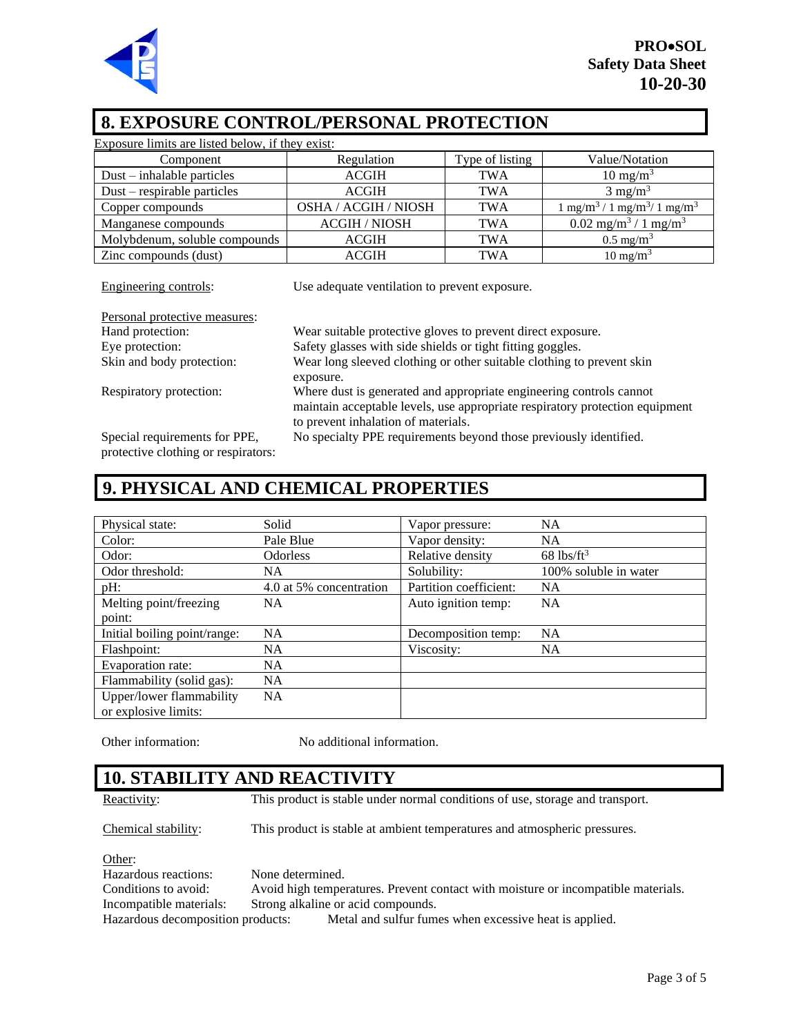

#### **8. EXPOSURE CONTROL/PERSONAL PROTECTION**

| Exposure limits are listed below, if they exist: |                      |                 |                                                          |
|--------------------------------------------------|----------------------|-----------------|----------------------------------------------------------|
| Component                                        | Regulation           | Type of listing | Value/Notation                                           |
| $Dust - inhalable particles$                     | <b>ACGIH</b>         | <b>TWA</b>      | $10 \text{ mg/m}^3$                                      |
| $Dust$ – respirable particles                    | <b>ACGIH</b>         | <b>TWA</b>      | $3 \text{ mg/m}^3$                                       |
| Copper compounds                                 | OSHA / ACGIH / NIOSH | <b>TWA</b>      | $1 \text{ mg/m}^3 / 1 \text{ mg/m}^3 / 1 \text{ mg/m}^3$ |
| Manganese compounds                              | <b>ACGIH / NIOSH</b> | <b>TWA</b>      | $0.02$ mg/m <sup>3</sup> / 1 mg/m <sup>3</sup>           |
| Molybdenum, soluble compounds                    | <b>ACGIH</b>         | <b>TWA</b>      | $0.5 \text{ mg/m}^3$                                     |
| Zinc compounds (dust)                            | <b>ACGIH</b>         | <b>TWA</b>      | $10 \text{ mg/m}^3$                                      |

| Engineering controls:         | Use adequate ventilation to prevent exposure.                                                                                                                                              |
|-------------------------------|--------------------------------------------------------------------------------------------------------------------------------------------------------------------------------------------|
| Personal protective measures: |                                                                                                                                                                                            |
| Hand protection:              | Wear suitable protective gloves to prevent direct exposure.                                                                                                                                |
| Eye protection:               | Safety glasses with side shields or tight fitting goggles.                                                                                                                                 |
| Skin and body protection:     | Wear long sleeved clothing or other suitable clothing to prevent skin<br>exposure.                                                                                                         |
| Respiratory protection:       | Where dust is generated and appropriate engineering controls cannot<br>maintain acceptable levels, use appropriate respiratory protection equipment<br>to prevent inhalation of materials. |
| Special requirements for PPE, | No specialty PPE requirements beyond those previously identified.                                                                                                                          |

protective clothing or respirators:

## **9. PHYSICAL AND CHEMICAL PROPERTIES**

| Physical state:              | Solid                   | Vapor pressure:        | <b>NA</b>                |
|------------------------------|-------------------------|------------------------|--------------------------|
| Color:                       | Pale Blue               | Vapor density:         | <b>NA</b>                |
| Odor:                        | <b>Odorless</b>         | Relative density       | $68$ lbs/ft <sup>3</sup> |
| Odor threshold:              | NA                      | Solubility:            | 100% soluble in water    |
| $pH$ :                       | 4.0 at 5% concentration | Partition coefficient: | <b>NA</b>                |
| Melting point/freezing       | <b>NA</b>               | Auto ignition temp:    | NA                       |
| point:                       |                         |                        |                          |
| Initial boiling point/range: | <b>NA</b>               | Decomposition temp:    | <b>NA</b>                |
| Flashpoint:                  | <b>NA</b>               | Viscosity:             | NA.                      |
| Evaporation rate:            | <b>NA</b>               |                        |                          |
| Flammability (solid gas):    | <b>NA</b>               |                        |                          |
| Upper/lower flammability     | <b>NA</b>               |                        |                          |
| or explosive limits:         |                         |                        |                          |

Other information: No additional information.

## **10. STABILITY AND REACTIVITY**

Reactivity: This product is stable under normal conditions of use, storage and transport.

Chemical stability: This product is stable at ambient temperatures and atmospheric pressures.

Other:

Hazardous reactions: None determined. Conditions to avoid: Avoid high temperatures. Prevent contact with moisture or incompatible materials. Incompatible materials: Strong alkaline or acid compounds. Hazardous decomposition products: Metal and sulfur fumes when excessive heat is applied.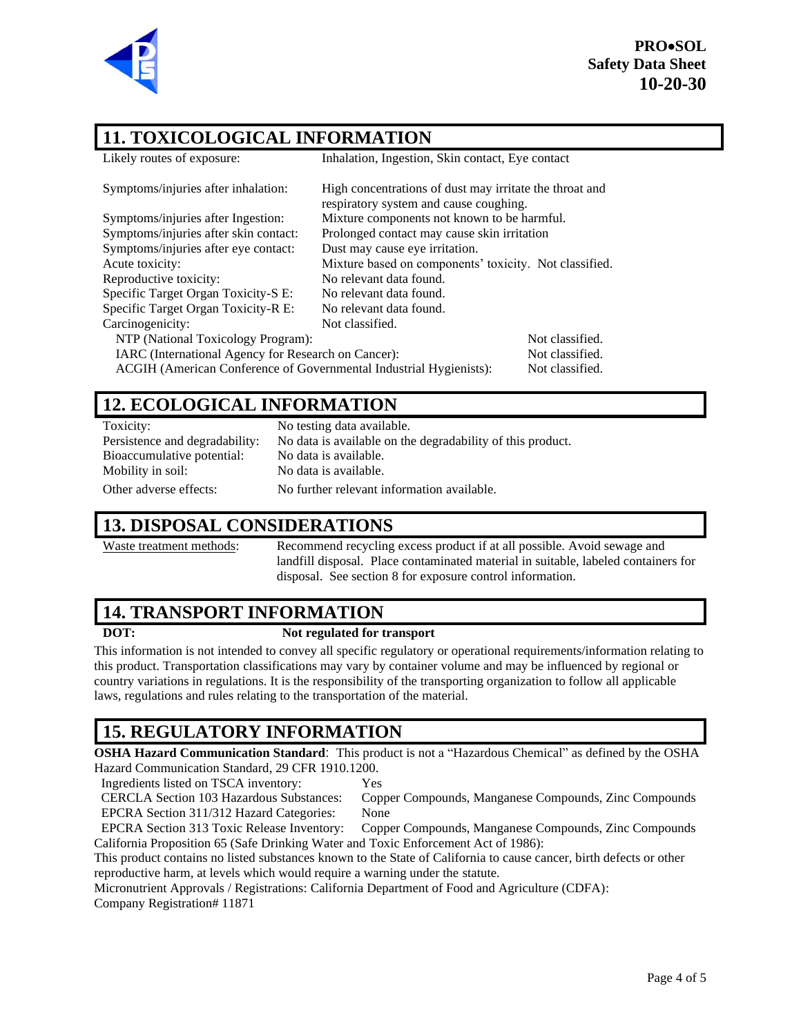

**PRO**•**SOL Safety Data Sheet 10-20-30**

#### **11. TOXICOLOGICAL INFORMATION**

| Likely routes of exposure:                                         | Inhalation, Ingestion, Skin contact, Eye contact                                                  |                 |  |
|--------------------------------------------------------------------|---------------------------------------------------------------------------------------------------|-----------------|--|
| Symptoms/injuries after inhalation:                                | High concentrations of dust may irritate the throat and<br>respiratory system and cause coughing. |                 |  |
| Symptoms/injuries after Ingestion:                                 | Mixture components not known to be harmful.                                                       |                 |  |
| Symptoms/injuries after skin contact:                              | Prolonged contact may cause skin irritation                                                       |                 |  |
| Symptoms/injuries after eye contact:                               | Dust may cause eye irritation.                                                                    |                 |  |
| Acute toxicity:                                                    | Mixture based on components' toxicity. Not classified.                                            |                 |  |
| Reproductive toxicity:                                             | No relevant data found.                                                                           |                 |  |
| Specific Target Organ Toxicity-S E:                                | No relevant data found.                                                                           |                 |  |
| Specific Target Organ Toxicity-R E:                                | No relevant data found.                                                                           |                 |  |
| Carcinogenicity:                                                   | Not classified.                                                                                   |                 |  |
| NTP (National Toxicology Program):                                 |                                                                                                   | Not classified. |  |
| IARC (International Agency for Research on Cancer):                |                                                                                                   | Not classified. |  |
| ACGIH (American Conference of Governmental Industrial Hygienists): |                                                                                                   | Not classified. |  |

#### **12. ECOLOGICAL INFORMATION**

Toxicity: No testing data available. Bioaccumulative potential: No data is available. Mobility in soil: No data is available. Other adverse effects: No further relevant information available.

Persistence and degradability: No data is available on the degradability of this product.

#### **13. DISPOSAL CONSIDERATIONS**

Waste treatment methods: Recommend recycling excess product if at all possible. Avoid sewage and landfill disposal. Place contaminated material in suitable, labeled containers for disposal. See section 8 for exposure control information.

#### **14. TRANSPORT INFORMATION**

#### **DOT: Not regulated for transport**

This information is not intended to convey all specific regulatory or operational requirements/information relating to this product. Transportation classifications may vary by container volume and may be influenced by regional or country variations in regulations. It is the responsibility of the transporting organization to follow all applicable laws, regulations and rules relating to the transportation of the material.

## **15. REGULATORY INFORMATION**

**OSHA Hazard Communication Standard**: This product is not a "Hazardous Chemical" as defined by the OSHA Hazard Communication Standard, 29 CFR 1910.1200.

Ingredients listed on TSCA inventory: Yes

CERCLA Section 103 Hazardous Substances: Copper Compounds, Manganese Compounds, Zinc Compounds EPCRA Section 311/312 Hazard Categories: None

EPCRA Section 313 Toxic Release Inventory: Copper Compounds, Manganese Compounds, Zinc Compounds California Proposition 65 (Safe Drinking Water and Toxic Enforcement Act of 1986):

This product contains no listed substances known to the State of California to cause cancer, birth defects or other reproductive harm, at levels which would require a warning under the statute.

Micronutrient Approvals / Registrations: California Department of Food and Agriculture (CDFA): Company Registration# 11871